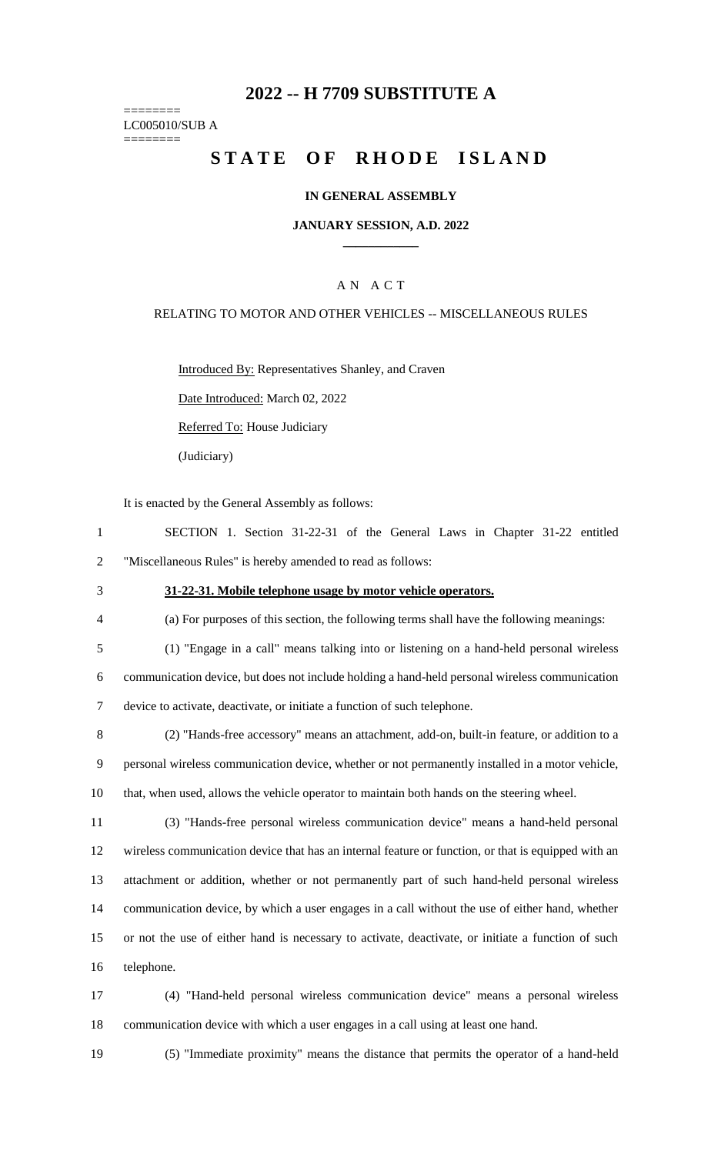# **2022 -- H 7709 SUBSTITUTE A**

======== LC005010/SUB A ========

# **STATE OF RHODE ISLAND**

#### **IN GENERAL ASSEMBLY**

#### **JANUARY SESSION, A.D. 2022 \_\_\_\_\_\_\_\_\_\_\_\_**

## A N A C T

#### RELATING TO MOTOR AND OTHER VEHICLES -- MISCELLANEOUS RULES

Introduced By: Representatives Shanley, and Craven

Date Introduced: March 02, 2022

Referred To: House Judiciary

(Judiciary)

It is enacted by the General Assembly as follows:

| SECTION 1. Section 31-22-31 of the General Laws in Chapter 31-22 entitled |  |  |  |  |  |  |  |  |  |  |  |
|---------------------------------------------------------------------------|--|--|--|--|--|--|--|--|--|--|--|
| "Miscellaneous Rules" is hereby amended to read as follows:               |  |  |  |  |  |  |  |  |  |  |  |

### 3 **31-22-31. Mobile telephone usage by motor vehicle operators.**

4 (a) For purposes of this section, the following terms shall have the following meanings:

- 5 (1) "Engage in a call" means talking into or listening on a hand-held personal wireless 6 communication device, but does not include holding a hand-held personal wireless communication 7 device to activate, deactivate, or initiate a function of such telephone.
- 8 (2) "Hands-free accessory" means an attachment, add-on, built-in feature, or addition to a 9 personal wireless communication device, whether or not permanently installed in a motor vehicle, 10 that, when used, allows the vehicle operator to maintain both hands on the steering wheel.
- 11 (3) "Hands-free personal wireless communication device" means a hand-held personal 12 wireless communication device that has an internal feature or function, or that is equipped with an 13 attachment or addition, whether or not permanently part of such hand-held personal wireless 14 communication device, by which a user engages in a call without the use of either hand, whether 15 or not the use of either hand is necessary to activate, deactivate, or initiate a function of such 16 telephone.
- 17 (4) "Hand-held personal wireless communication device" means a personal wireless 18 communication device with which a user engages in a call using at least one hand.
- 

19 (5) "Immediate proximity" means the distance that permits the operator of a hand-held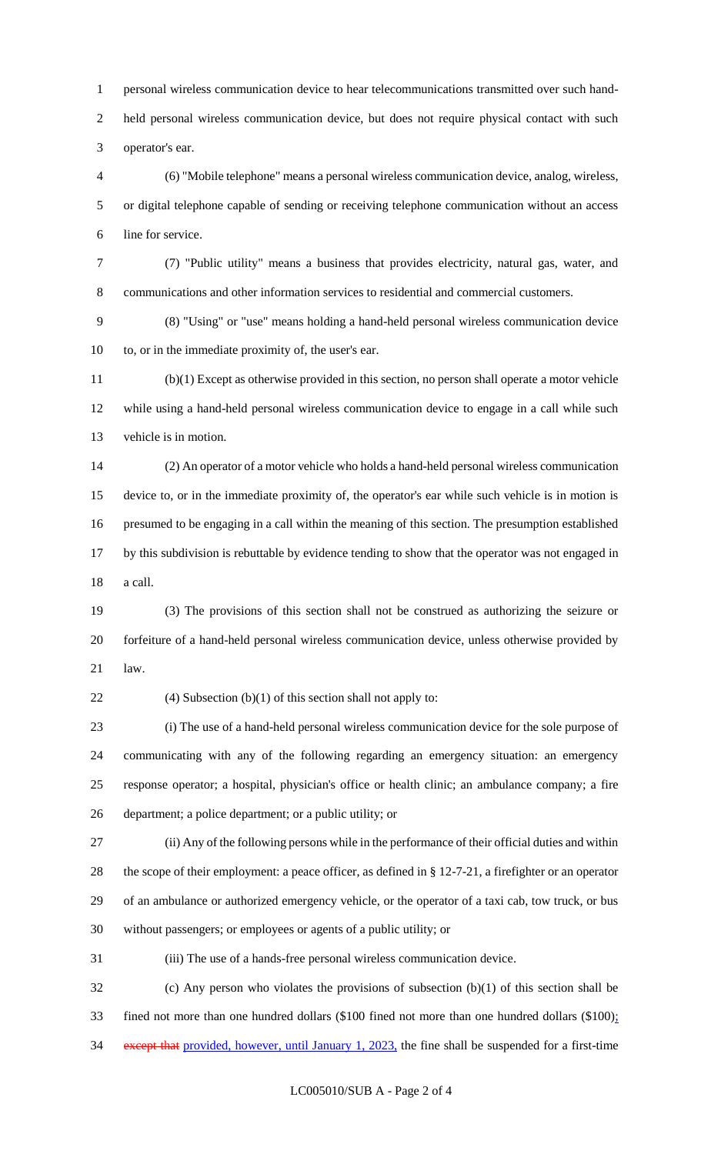personal wireless communication device to hear telecommunications transmitted over such hand- held personal wireless communication device, but does not require physical contact with such operator's ear.

 (6) "Mobile telephone" means a personal wireless communication device, analog, wireless, or digital telephone capable of sending or receiving telephone communication without an access line for service.

 (7) "Public utility" means a business that provides electricity, natural gas, water, and communications and other information services to residential and commercial customers.

 (8) "Using" or "use" means holding a hand-held personal wireless communication device to, or in the immediate proximity of, the user's ear.

 (b)(1) Except as otherwise provided in this section, no person shall operate a motor vehicle while using a hand-held personal wireless communication device to engage in a call while such vehicle is in motion.

 (2) An operator of a motor vehicle who holds a hand-held personal wireless communication device to, or in the immediate proximity of, the operator's ear while such vehicle is in motion is presumed to be engaging in a call within the meaning of this section. The presumption established by this subdivision is rebuttable by evidence tending to show that the operator was not engaged in a call.

 (3) The provisions of this section shall not be construed as authorizing the seizure or forfeiture of a hand-held personal wireless communication device, unless otherwise provided by law.

22 (4) Subsection  $(b)(1)$  of this section shall not apply to:

 (i) The use of a hand-held personal wireless communication device for the sole purpose of communicating with any of the following regarding an emergency situation: an emergency response operator; a hospital, physician's office or health clinic; an ambulance company; a fire department; a police department; or a public utility; or

 (ii) Any of the following persons while in the performance of their official duties and within the scope of their employment: a peace officer, as defined in § 12-7-21, a firefighter or an operator of an ambulance or authorized emergency vehicle, or the operator of a taxi cab, tow truck, or bus without passengers; or employees or agents of a public utility; or

(iii) The use of a hands-free personal wireless communication device.

 (c) Any person who violates the provisions of subsection (b)(1) of this section shall be fined not more than one hundred dollars (\$100 fined not more than one hundred dollars (\$100); 34 except that provided, however, until January 1, 2023, the fine shall be suspended for a first-time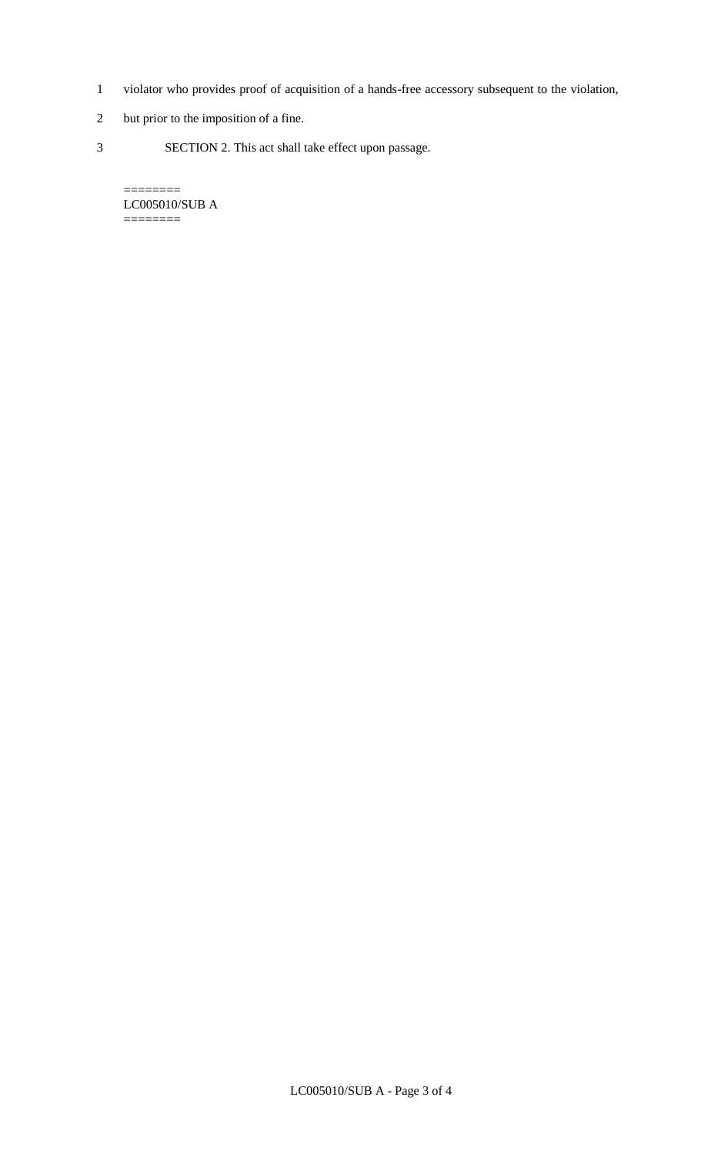- 1 violator who provides proof of acquisition of a hands-free accessory subsequent to the violation,
- 2 but prior to the imposition of a fine.
- 3 SECTION 2. This act shall take effect upon passage.

LC005010/SUB A ========

 $=$